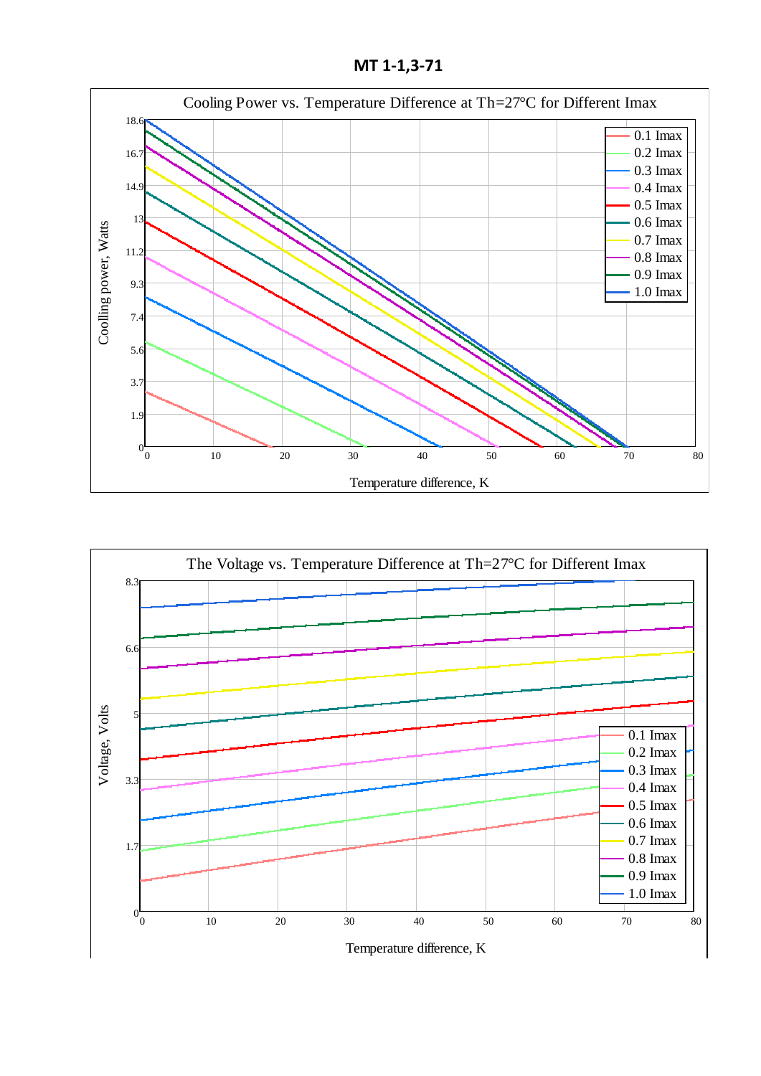**МТ 1-1,3-71**